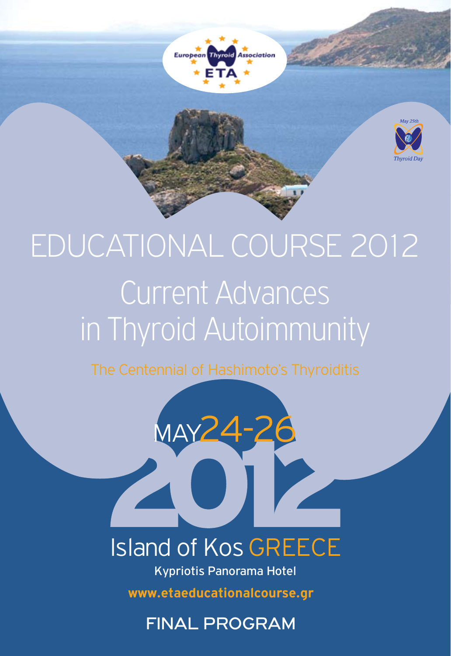



# Educational Course 2012 Current Advances in Thyroid Autoimmunity

May24-26

# Island of Kos GREECE

Kypriotis Panorama Hotel

**www.etaeducationalcourse.gr**

# FINAL PROGRAM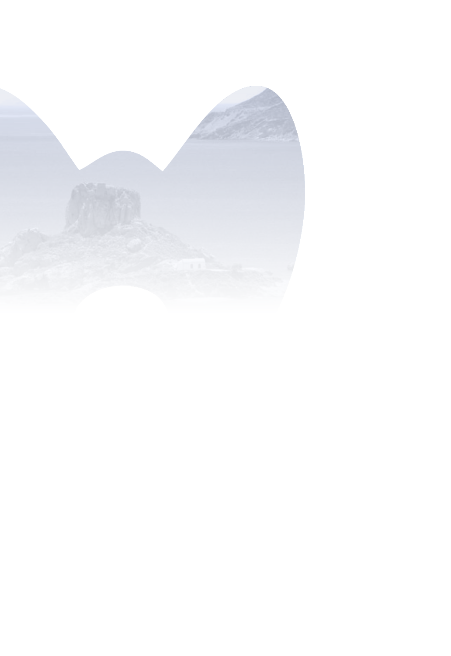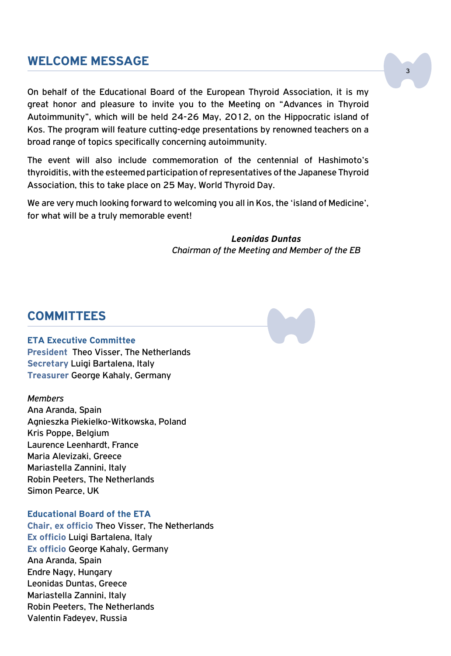### **Welcome Message**

On behalf of the Educational Board of the European Thyroid Association, it is my great honor and pleasure to invite you to the Meeting on "Advances in Thyroid Autoimmunity", which will be held 24-26 May, 2012, on the Hippocratic island of Kos. The program will feature cutting-edge presentations by renowned teachers on a broad range of topics specifically concerning autoimmunity.

The event will also include commemoration of the centennial of Hashimoto's thyroiditis, with the esteemed participation of representatives of the Japanese Thyroid Association, this to take place on 25 May, World Thyroid Day.

We are very much looking forward to welcoming you all in Kos, the 'island of Medicine', for what will be a truly memorable event!

> *Leonidas Duntas Chairman of the Meeting and Member of the EB*

### **Committees**

### **ETA Executive Committee**

**President** Theo Visser, The Netherlands **Secretary** Luigi Bartalena, Italy **Treasurer** George Kahaly, Germany

### *Members*

Ana Aranda, Spain Agnieszka Piekielko-Witkowska, Poland Kris Poppe, Belgium Laurence Leenhardt, France Maria Alevizaki, Greece Mariastella Zannini, Italy Robin Peeters, The Netherlands Simon Pearce, UK

### **Educational Board of the ETA**

**Chair, ex officio** Theo Visser, The Netherlands **Ex officio** Luigi Bartalena, Italy **Ex officio** George Kahaly, Germany Ana Aranda, Spain Endre Nagy, Hungary Leonidas Duntas, Greece Mariastella Zannini, Italy Robin Peeters, The Netherlands Valentin Fadeyev, Russia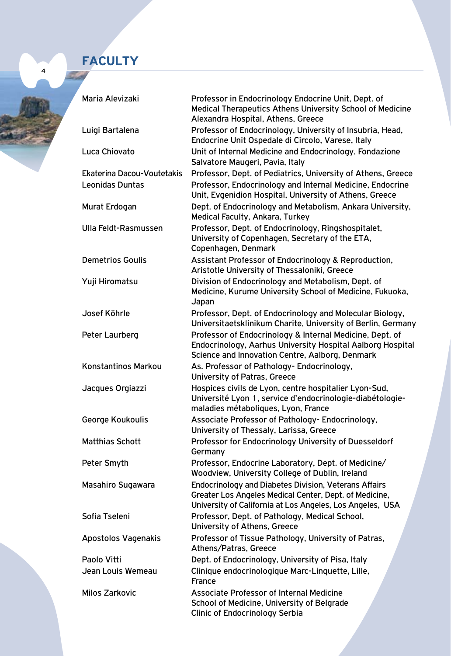# **FACULTY**

| Maria Alevizaki            | Professor in Endocrinology Endocrine Unit, Dept. of<br>Medical Therapeutics Athens University School of Medicine<br>Alexandra Hospital, Athens, Greece                       |  |
|----------------------------|------------------------------------------------------------------------------------------------------------------------------------------------------------------------------|--|
| Luigi Bartalena            | Professor of Endocrinology, University of Insubria, Head,<br>Endocrine Unit Ospedale di Circolo, Varese, Italy                                                               |  |
| Luca Chiovato              | Unit of Internal Medicine and Endocrinology, Fondazione<br>Salvatore Maugeri, Pavia, Italy                                                                                   |  |
| Ekaterina Dacou-Voutetakis | Professor, Dept. of Pediatrics, University of Athens, Greece                                                                                                                 |  |
| Leonidas Duntas            | Professor, Endocrinology and Internal Medicine, Endocrine<br>Unit, Evgenidion Hospital, University of Athens, Greece                                                         |  |
| Murat Erdogan              | Dept. of Endocrinology and Metabolism, Ankara University,<br>Medical Faculty, Ankara, Turkey                                                                                 |  |
| Ulla Feldt-Rasmussen       | Professor, Dept. of Endocrinology, Ringshospitalet,<br>University of Copenhagen, Secretary of the ETA,<br>Copenhagen, Denmark                                                |  |
| <b>Demetrios Goulis</b>    | Assistant Professor of Endocrinology & Reproduction,<br>Aristotle University of Thessaloniki, Greece                                                                         |  |
| Yuji Hiromatsu             | Division of Endocrinology and Metabolism, Dept. of<br>Medicine, Kurume University School of Medicine, Fukuoka,<br>Japan                                                      |  |
| Josef Köhrle               | Professor, Dept. of Endocrinology and Molecular Biology,<br>Universitaetsklinikum Charite, University of Berlin, Germany                                                     |  |
| Peter Laurberg             | Professor of Endocrinology & Internal Medicine, Dept. of<br>Endocrinology, Aarhus University Hospital Aalborg Hospital<br>Science and Innovation Centre, Aalborg, Denmark    |  |
| Konstantinos Markou        | As. Professor of Pathology- Endocrinology,<br>University of Patras, Greece                                                                                                   |  |
| Jacques Orgiazzi           | Hospices civils de Lyon, centre hospitalier Lyon-Sud,<br>Université Lyon 1, service d'endocrinologie-diabétologie-<br>maladies métaboliques, Lyon, France                    |  |
| George Koukoulis           | Associate Professor of Pathology- Endocrinology,<br>University of Thessaly, Larissa, Greece                                                                                  |  |
| <b>Matthias Schott</b>     | Professor for Endocrinology University of Duesseldorf<br>Germany                                                                                                             |  |
| Peter Smyth                | Professor, Endocrine Laboratory, Dept. of Medicine/<br>Woodview, University College of Dublin, Ireland                                                                       |  |
| Masahiro Sugawara          | Endocrinology and Diabetes Division, Veterans Affairs<br>Greater Los Angeles Medical Center, Dept. of Medicine,<br>University of California at Los Angeles, Los Angeles, USA |  |
| Sofia Tseleni              | Professor, Dept. of Pathology, Medical School,<br>University of Athens, Greece                                                                                               |  |
| Apostolos Vagenakis        | Professor of Tissue Pathology, University of Patras,<br>Athens/Patras, Greece                                                                                                |  |
| Paolo Vitti                | Dept. of Endocrinology, University of Pisa, Italy                                                                                                                            |  |
| Jean Louis Wemeau          | Clinique endocrinologique Marc-Linguette, Lille,<br>France                                                                                                                   |  |
| Milos Zarkovic             | <b>Associate Professor of Internal Medicine</b><br>School of Medicine, University of Belgrade<br>Clinic of Endocrinology Serbia                                              |  |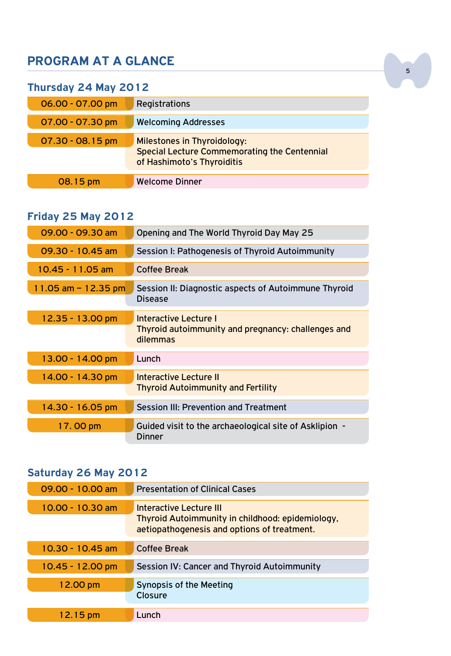# **Program at a Glance**

| Thursday 24 May 2012 |                                                                                                                  |  |
|----------------------|------------------------------------------------------------------------------------------------------------------|--|
| 06.00 - 07.00 pm     | Registrations                                                                                                    |  |
| $07.00 - 07.30$ pm   | <b>Welcoming Addresses</b>                                                                                       |  |
| $07.30 - 08.15$ pm   | Milestones in Thyroidology:<br><b>Special Lecture Commemorating the Centennial</b><br>of Hashimoto's Thyroiditis |  |
| 08.15 pm             | <b>Welcome Dinner</b>                                                                                            |  |

### **Friday 25 May 2012**

| 09.00 - 09.30 am      | Opening and The World Thyroid Day May 25                                                       |
|-----------------------|------------------------------------------------------------------------------------------------|
| $09.30 - 10.45$ am    | Session I: Pathogenesis of Thyroid Autoimmunity                                                |
| 10.45 - 11.05 am      | <b>Coffee Break</b>                                                                            |
| 11.05 am $-$ 12.35 pm | Session II: Diagnostic aspects of Autoimmune Thyroid<br><b>Disease</b>                         |
| 12.35 - 13.00 pm      | Interactive Lecture I<br><b>Thyroid autoimmunity and pregnancy: challenges and</b><br>dilemmas |
| 13.00 - 14.00 pm      | Lunch                                                                                          |
| 14.00 - 14.30 pm      | Interactive Lecture II<br><b>Thyroid Autoimmunity and Fertility</b>                            |
| 14.30 - 16.05 pm      | Session III: Prevention and Treatment                                                          |
| 17.00 pm              | Guided visit to the archaeological site of Asklipion -<br><b>Dinner</b>                        |

### **Saturday 26 May 2012**

| $09.00 - 10.00$ am    | <b>Presentation of Clinical Cases</b>                                                                                      |
|-----------------------|----------------------------------------------------------------------------------------------------------------------------|
| 10.00 - 10.30 am      | Interactive Lecture III<br>Thyroid Autoimmunity in childhood: epidemiology,<br>aetiopathogenesis and options of treatment. |
| $10.30 - 10.45$ am    | <b>Coffee Break</b>                                                                                                        |
| $10.45 - 12.00$ pm    | Session IV: Cancer and Thyroid Autoimmunity                                                                                |
| 12.00 pm              | Synopsis of the Meeting<br>Closure                                                                                         |
| $12.15 \,\mathrm{pm}$ | Lunch                                                                                                                      |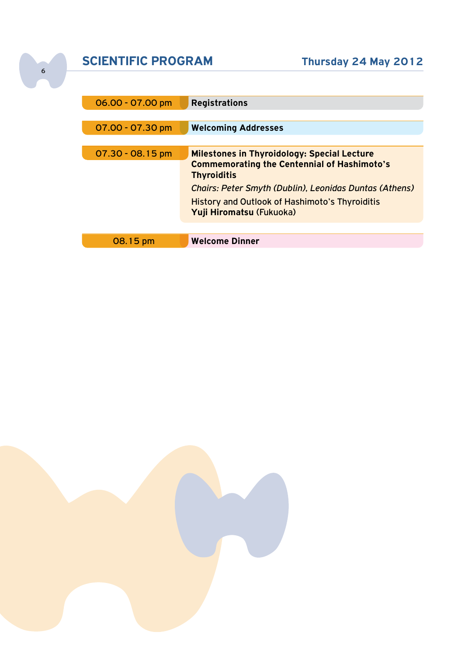# **SCIENTIFIC PROGRAM Thursday 24 May 2012**

| 06.00 - 07.00 pm   | <b>Registrations</b>                                                              |
|--------------------|-----------------------------------------------------------------------------------|
| $07.00 - 07.30$ pm | <b>Welcoming Addresses</b>                                                        |
| $07.30 - 08.15$ pm | <b>Milestones in Thyroidology: Special Lecture</b>                                |
|                    | <b>Commemorating the Centennial of Hashimoto's</b><br><b>Thyroiditis</b>          |
|                    | <b>Chairs: Peter Smyth (Dublin), Leonidas Duntas (Athens)</b>                     |
|                    | <b>History and Outlook of Hashimoto's Thyroiditis</b><br>Yuji Hiromatsu (Fukuoka) |
|                    |                                                                                   |
| 08.15 pm           | <b>Welcome Dinner</b>                                                             |

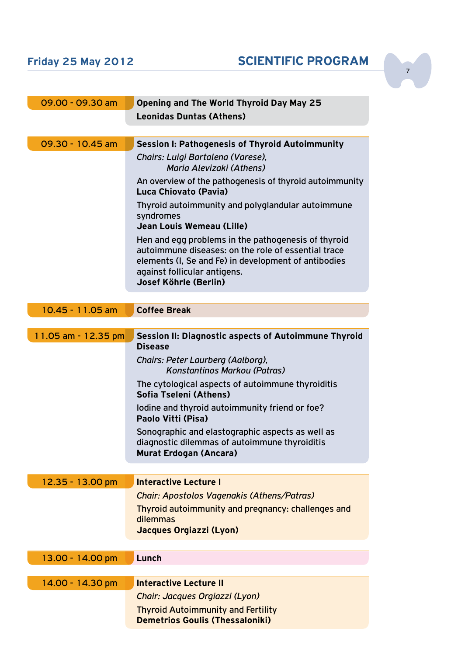### Friday 25 May 2012 **SCIENTIFIC PROGRAM**

| 09.00 - 09.30 am    | Opening and The World Thyroid Day May 25                                                                                                                                                                                    |  |
|---------------------|-----------------------------------------------------------------------------------------------------------------------------------------------------------------------------------------------------------------------------|--|
|                     | <b>Leonidas Duntas (Athens)</b>                                                                                                                                                                                             |  |
|                     |                                                                                                                                                                                                                             |  |
| 09.30 - 10.45 am    | <b>Session I: Pathogenesis of Thyroid Autoimmunity</b>                                                                                                                                                                      |  |
|                     | Chairs: Luigi Bartalena (Varese),                                                                                                                                                                                           |  |
|                     | Maria Alevizaki (Athens)                                                                                                                                                                                                    |  |
|                     | An overview of the pathogenesis of thyroid autoimmunity<br>Luca Chiovato (Pavia)                                                                                                                                            |  |
|                     | Thyroid autoimmunity and polyglandular autoimmune                                                                                                                                                                           |  |
|                     | syndromes<br>Jean Louis Wemeau (Lille)                                                                                                                                                                                      |  |
|                     | Hen and egg problems in the pathogenesis of thyroid<br>autoimmune diseases: on the role of essential trace<br>elements (I, Se and Fe) in development of antibodies<br>against follicular antigens.<br>Josef Köhrle (Berlin) |  |
|                     |                                                                                                                                                                                                                             |  |
| $10.45 - 11.05$ am  | <b>Coffee Break</b>                                                                                                                                                                                                         |  |
|                     |                                                                                                                                                                                                                             |  |
| 11.05 am - 12.35 pm | <b>Session II: Diagnostic aspects of Autoimmune Thyroid</b><br><b>Disease</b>                                                                                                                                               |  |
|                     | Chairs: Peter Laurberg (Aalborg),<br>Konstantinos Markou (Patras)                                                                                                                                                           |  |
|                     | The cytological aspects of autoimmune thyroiditis<br><b>Sofia Tseleni (Athens)</b>                                                                                                                                          |  |
|                     | lodine and thyroid autoimmunity friend or foe?<br>Paolo Vitti (Pisa)                                                                                                                                                        |  |
|                     | Sonographic and elastographic aspects as well as<br>diagnostic dilemmas of autoimmune thyroiditis<br><b>Murat Erdogan (Ancara)</b>                                                                                          |  |
|                     |                                                                                                                                                                                                                             |  |
| 12.35 - 13.00 pm    | <b>Interactive Lecture I</b>                                                                                                                                                                                                |  |
|                     | Chair: Apostolos Vagenakis (Athens/Patras)                                                                                                                                                                                  |  |
|                     | Thyroid autoimmunity and pregnancy: challenges and                                                                                                                                                                          |  |
|                     | dilemmas<br>Jacques Orgiazzi (Lyon)                                                                                                                                                                                         |  |
|                     |                                                                                                                                                                                                                             |  |
| 13.00 - 14.00 pm    | Lunch                                                                                                                                                                                                                       |  |
|                     |                                                                                                                                                                                                                             |  |
| 14.00 - 14.30 pm    | <b>Interactive Lecture II</b>                                                                                                                                                                                               |  |
|                     | Chair: Jacques Orgiazzi (Lyon)                                                                                                                                                                                              |  |
|                     | <b>Thyroid Autoimmunity and Fertility</b>                                                                                                                                                                                   |  |
|                     | <b>Demetrios Goulis (Thessaloniki)</b>                                                                                                                                                                                      |  |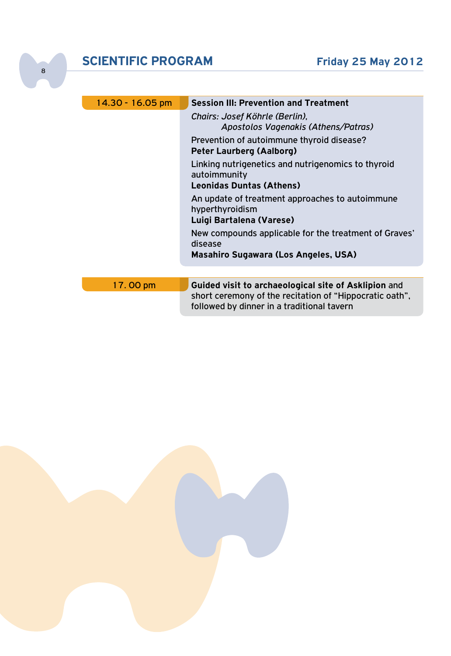# **SCIENTIFIC PROGRAM Friday 25 May 2012**

| 14.30 - 16.05 pm | <b>Session III: Prevention and Treatment</b>                                                                                                                  |
|------------------|---------------------------------------------------------------------------------------------------------------------------------------------------------------|
|                  | Chairs: Josef Köhrle (Berlin),<br>Apostolos Vagenakis (Athens/Patras)                                                                                         |
|                  | Prevention of autoimmune thyroid disease?<br><b>Peter Laurberg (Aalborg)</b>                                                                                  |
|                  | Linking nutrigenetics and nutrigenomics to thyroid<br>autoimmunity<br><b>Leonidas Duntas (Athens)</b>                                                         |
|                  | An update of treatment approaches to autoimmune<br>hyperthyroidism<br>Luigi Bartalena (Varese)                                                                |
|                  | New compounds applicable for the treatment of Graves'<br>disease                                                                                              |
|                  | <b>Masahiro Sugawara (Los Angeles, USA)</b>                                                                                                                   |
|                  |                                                                                                                                                               |
| 17.00 pm         | Guided visit to archaeological site of Asklipion and<br>short ceremony of the recitation of "Hippocratic oath",<br>followed by dinner in a traditional tavern |

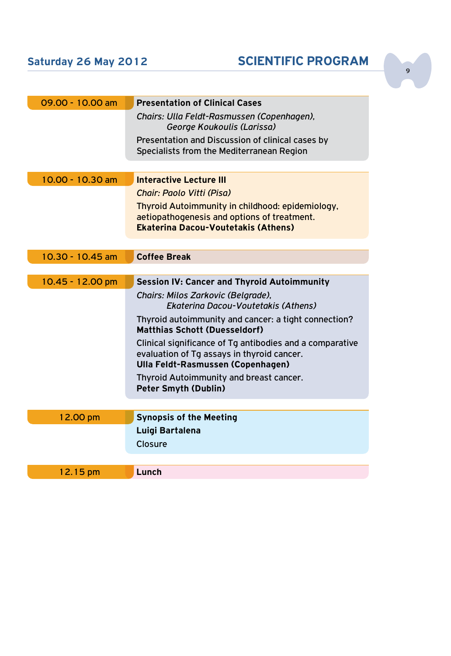# Saturday 26 May 2012 **SCIENTIFIC PROGRAM**

| 09.00 - 10.00 am   | <b>Presentation of Clinical Cases</b>                                                        |
|--------------------|----------------------------------------------------------------------------------------------|
|                    | Chairs: Ulla Feldt-Rasmussen (Copenhagen),<br>George Koukoulis (Larissa)                     |
|                    | Presentation and Discussion of clinical cases by                                             |
|                    | Specialists from the Mediterranean Region                                                    |
|                    |                                                                                              |
| 10.00 - 10.30 am   | <b>Interactive Lecture III</b>                                                               |
|                    | Chair: Paolo Vitti (Pisa)                                                                    |
|                    | Thyroid Autoimmunity in childhood: epidemiology,                                             |
|                    | aetiopathogenesis and options of treatment.<br><b>Ekaterina Dacou-Voutetakis (Athens)</b>    |
|                    |                                                                                              |
| $10.30 - 10.45$ am | <b>Coffee Break</b>                                                                          |
|                    |                                                                                              |
| 10.45 - 12.00 pm   | <b>Session IV: Cancer and Thyroid Autoimmunity</b>                                           |
|                    | Chairs: Milos Zarkovic (Belgrade),<br>Ekaterina Dacou-Voutetakis (Athens)                    |
|                    | Thyroid autoimmunity and cancer: a tight connection?<br><b>Matthias Schott (Duesseldorf)</b> |
|                    | Clinical significance of Tg antibodies and a comparative                                     |
|                    | evaluation of Tg assays in thyroid cancer.<br>Ulla Feldt-Rasmussen (Copenhagen)              |
|                    | Thyroid Autoimmunity and breast cancer.                                                      |
|                    | <b>Peter Smyth (Dublin)</b>                                                                  |
|                    |                                                                                              |
| 12.00 pm           | <b>Synopsis of the Meeting</b>                                                               |
|                    | Luigi Bartalena                                                                              |
|                    | Closure                                                                                      |
|                    |                                                                                              |
| 12.15 pm           | Lunch                                                                                        |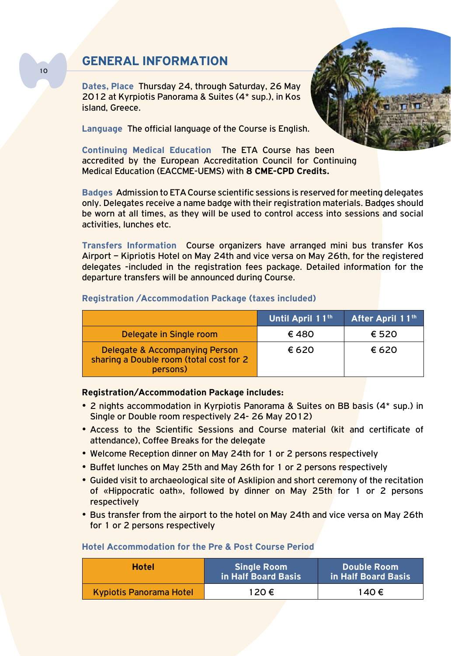### **GENERAL INFORMATION**

**Dates, Place** Thursday 24, through Saturday, 26 May 2012 at Kyrpiotis Panorama & Suites (4\* sup.), in Kos island, Greece.



**Language** The official language of the Course is English.

**Continuing Medical Education** The ETA Course has been accredited by the European Accreditation Council for Continuing Medical Education (EACCME-UEMS) with **8 CME-CPD Credits.**

**Badges** Admission to ETA Course scientific sessions is reserved for meeting delegates only. Delegates receive a name badge with their registration materials. Badges should be worn at all times, as they will be used to control access into sessions and social activities, lunches etc.

**Transfers Information** Course organizers have arranged mini bus transfer Kos Airport – Kipriotis Hotel on May 24th and vice versa on May 26th, for the registered delegates -included in the registration fees package. Detailed information for the departure transfers will be announced during Course.

### **Registration /Accommodation Package (taxes included)**

|                                                                                                  | Until April 11th | After April 11th |
|--------------------------------------------------------------------------------------------------|------------------|------------------|
| Delegate in Single room                                                                          | € 480            | € 520            |
| <b>Delegate &amp; Accompanying Person</b><br>sharing a Double room (total cost for 2<br>persons) | € 620            | € 620            |

### **Registration/Accommodation Package includes:**

- • 2 nights accommodation in Kyrpiotis Panorama & Suites on BB basis (4\* sup.) in Single or Double room respectively 24- 26 May 2012)
- Access to the Scientific Sessions and Course material (kit and certificate of attendance), Coffee Breaks for the delegate
- Welcome Reception dinner on May 24th for 1 or 2 persons respectively
- Buffet lunches on May 25th and May 26th for 1 or 2 persons respectively
- Guided visit to archaeological site of Asklipion and short ceremony of the recitation of «Hippocratic oath», followed by dinner on May 25th for 1 or 2 persons respectively
- Bus transfer from the airport to the hotel on May 24th and vice versa on May 26th for 1 or 2 persons respectively

| <b>Hotel</b>            | <b>Single Room</b><br>in Half Board Basis | <b>Double Room</b><br>in Half Board Basis |
|-------------------------|-------------------------------------------|-------------------------------------------|
| Kypiotis Panorama Hotel | 120€                                      | 140€                                      |

### **Hotel Accommodation for the Pre & Post Course Period**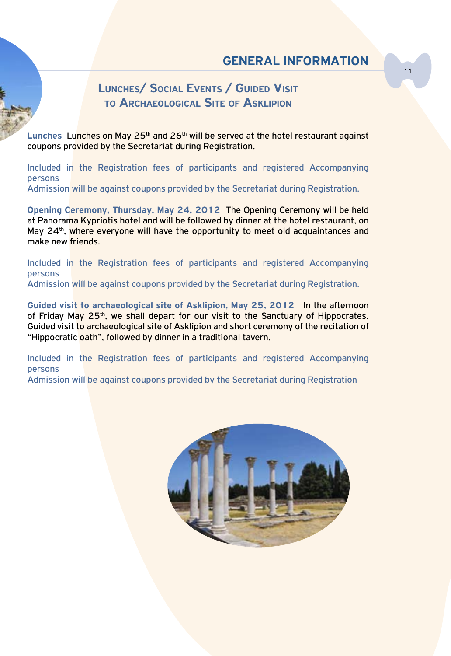### **Lunches/ Social Events / Guided Visit to Αrchaeological Site of Asklipion**

Lunches Lunches on May 25<sup>th</sup> and 26<sup>th</sup> will be served at the hotel restaurant against coupons provided by the Secretariat during Registration.

Included in the Registration fees of participants and registered Accompanying persons

Admission will be against coupons provided by the Secretariat during Registration.

**Opening Ceremony, Thursday, May 24, 2012** The Opening Ceremony will be held at Panorama Kypriotis hotel and will be followed by dinner at the hotel restaurant, on May 24<sup>th</sup>, where everyone will have the opportunity to meet old acquaintances and make new friends.

Included in the Registration fees of participants and registered Accompanying persons Admission will be against coupons provided by the Secretariat during Registration.

**Guided visit to archaeological site of Asklipion, May 25, 2012** In the afternoon of Friday May  $25<sup>th</sup>$ , we shall depart for our visit to the Sanctuary of Hippocrates. Guided visit to archaeological site of Asklipion and short ceremony of the recitation of "Hippocratic oath", followed by dinner in a traditional tavern.

Included in the Registration fees of participants and registered Accompanying persons

Admission will be against coupons provided by the Secretariat during Registration